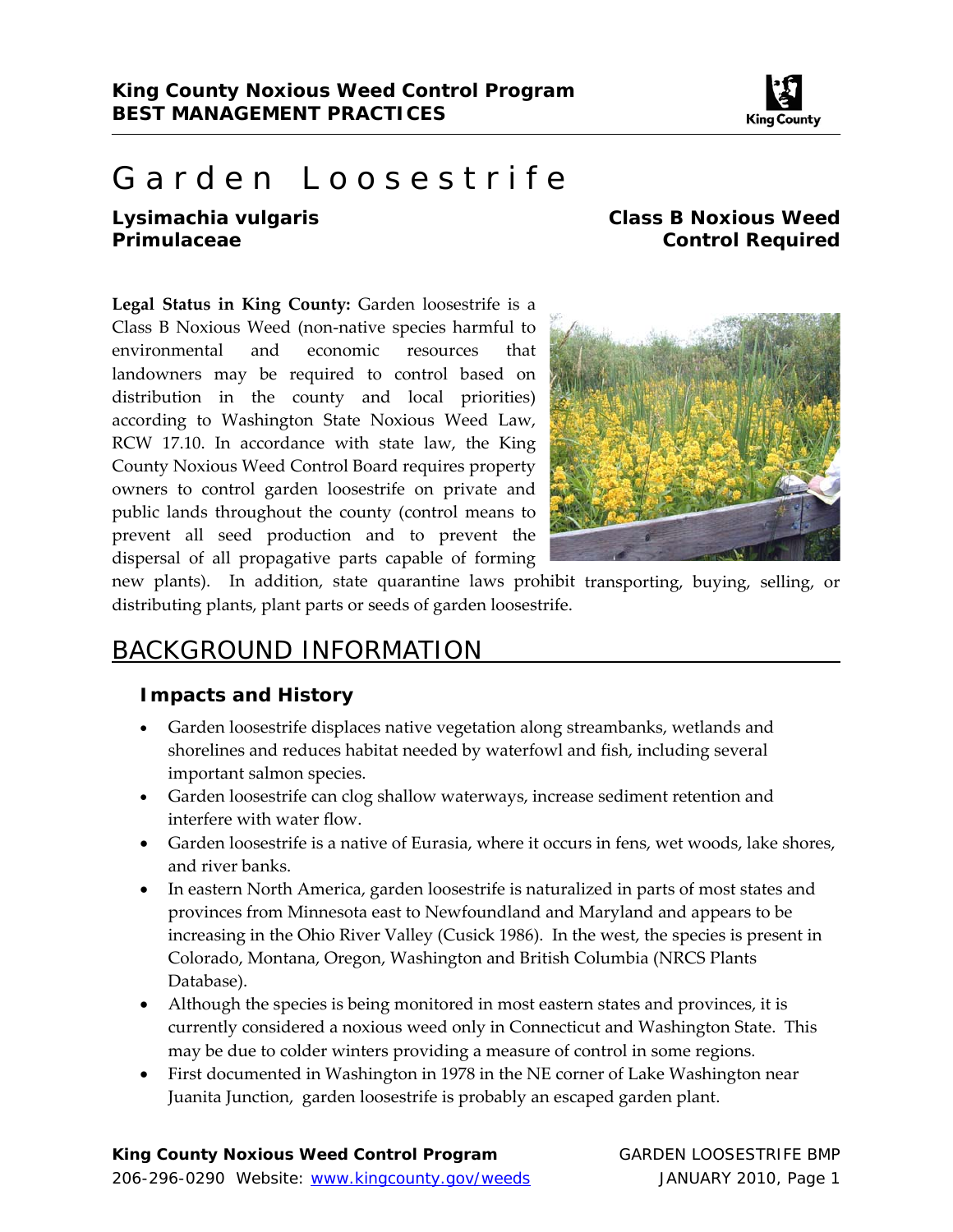

# Garden Loosestrife

#### *Lysimachia vulgaris* **Class B Noxious Weed Primulaceae** Control Required

**Legal Status in King County:** Garden loosestrife is a Class B Noxious Weed (non‐native species harmful to environmental and economic resources that landowners may be required to control based on distribution in the county and local priorities) according to Washington State Noxious Weed Law, RCW 17.10. In accordance with state law, the King County Noxious Weed Control Board requires property owners to control garden loosestrife on private and public lands throughout the county (control means to prevent all seed production and to prevent the dispersal of all propagative parts capable of forming



new plants). In addition, state quarantine laws prohibit transporting, buying, selling, or distributing plants, plant parts or seeds of garden loosestrife.

## BACKGROUND INFORMATION

#### **Impacts and History**

- Garden loosestrife displaces native vegetation along streambanks, wetlands and shorelines and reduces habitat needed by waterfowl and fish, including several important salmon species.
- Garden loosestrife can clog shallow waterways, increase sediment retention and interfere with water flow.
- Garden loosestrife is a native of Eurasia, where it occurs in fens, wet woods, lake shores, and river banks.
- In eastern North America, garden loosestrife is naturalized in parts of most states and provinces from Minnesota east to Newfoundland and Maryland and appears to be increasing in the Ohio River Valley (Cusick 1986). In the west, the species is present in Colorado, Montana, Oregon, Washington and British Columbia (NRCS Plants Database).
- Although the species is being monitored in most eastern states and provinces, it is currently considered a noxious weed only in Connecticut and Washington State. This may be due to colder winters providing a measure of control in some regions.
- First documented in Washington in 1978 in the NE corner of Lake Washington near Juanita Junction, garden loosestrife is probably an escaped garden plant.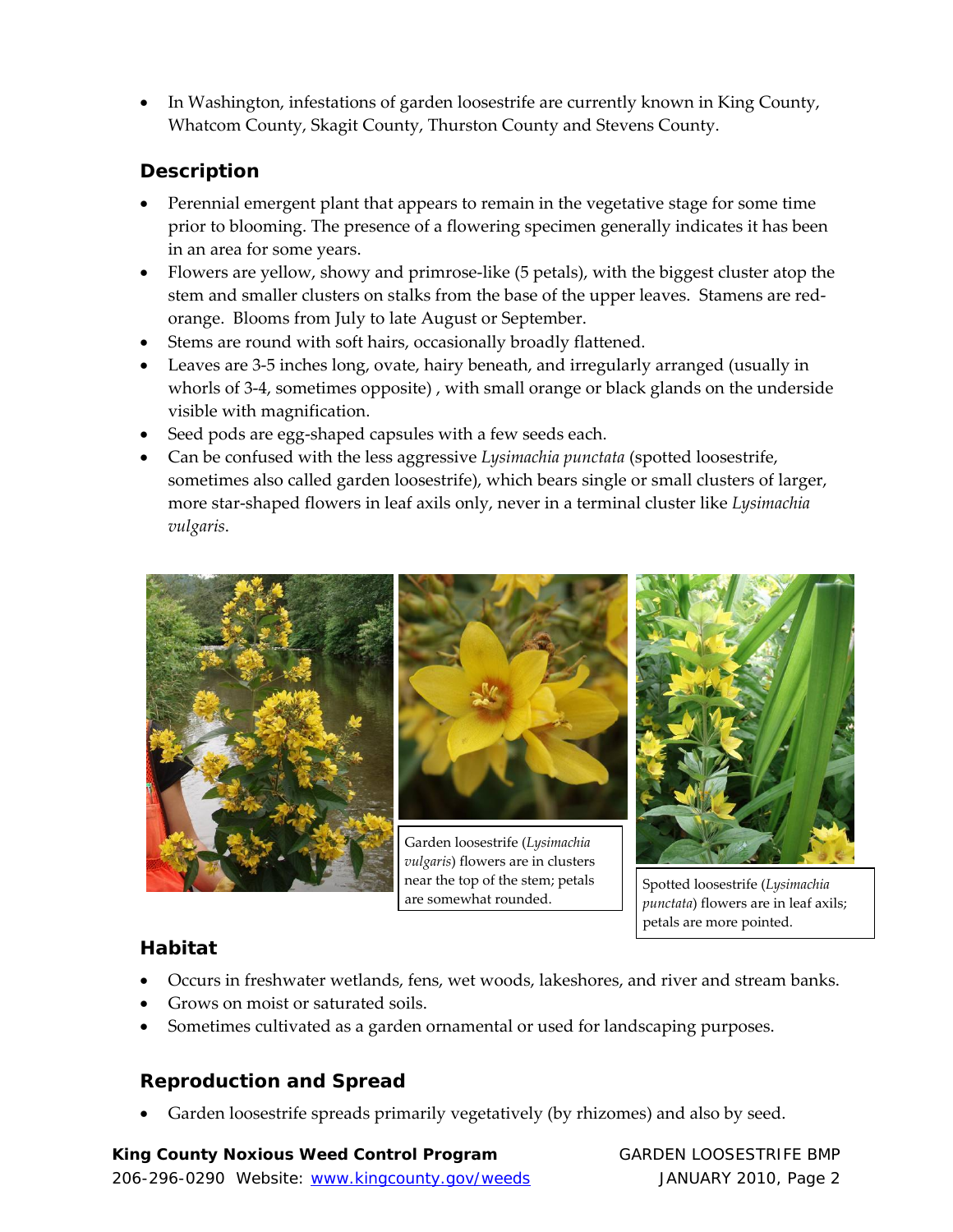In Washington, infestations of garden loosestrife are currently known in King County, Whatcom County, Skagit County, Thurston County and Stevens County.

#### **Description**

- Perennial emergent plant that appears to remain in the vegetative stage for some time prior to blooming. The presence of a flowering specimen generally indicates it has been in an area for some years.
- Flowers are yellow, showy and primrose‐like (5 petals), with the biggest cluster atop the stem and smaller clusters on stalks from the base of the upper leaves. Stamens are red‐ orange. Blooms from July to late August or September.
- Stems are round with soft hairs, occasionally broadly flattened.
- Leaves are 3-5 inches long, ovate, hairy beneath, and irregularly arranged (usually in whorls of 3-4, sometimes opposite), with small orange or black glands on the underside visible with magnification.
- Seed pods are egg-shaped capsules with a few seeds each.
- Can be confused with the less aggressive *Lysimachia punctata* (spotted loosestrife, sometimes also called garden loosestrife), which bears single or small clusters of larger, more star‐shaped flowers in leaf axils only, never in a terminal cluster like *Lysimachia vulgaris*.





Garden loosestrife (*Lysimachia vulgaris*) flowers are in clusters near the top of the stem; petals are somewhat rounded.



Spotted loosestrife (*Lysimachia punctata*) flowers are in leaf axils; petals are more pointed.

#### **Habitat**

- Occurs in freshwater wetlands, fens, wet woods, lakeshores, and river and stream banks.
- Grows on moist or saturated soils.
- Sometimes cultivated as a garden ornamental or used for landscaping purposes.

### **Reproduction and Spread**

Garden loosestrife spreads primarily vegetatively (by rhizomes) and also by seed.

#### **King County Noxious Weed Control Program** GARDEN LOOSESTRIFE BMP 206-296-0290 Website: www.kingcounty.gov/weeds JANUARY 2010, Page 2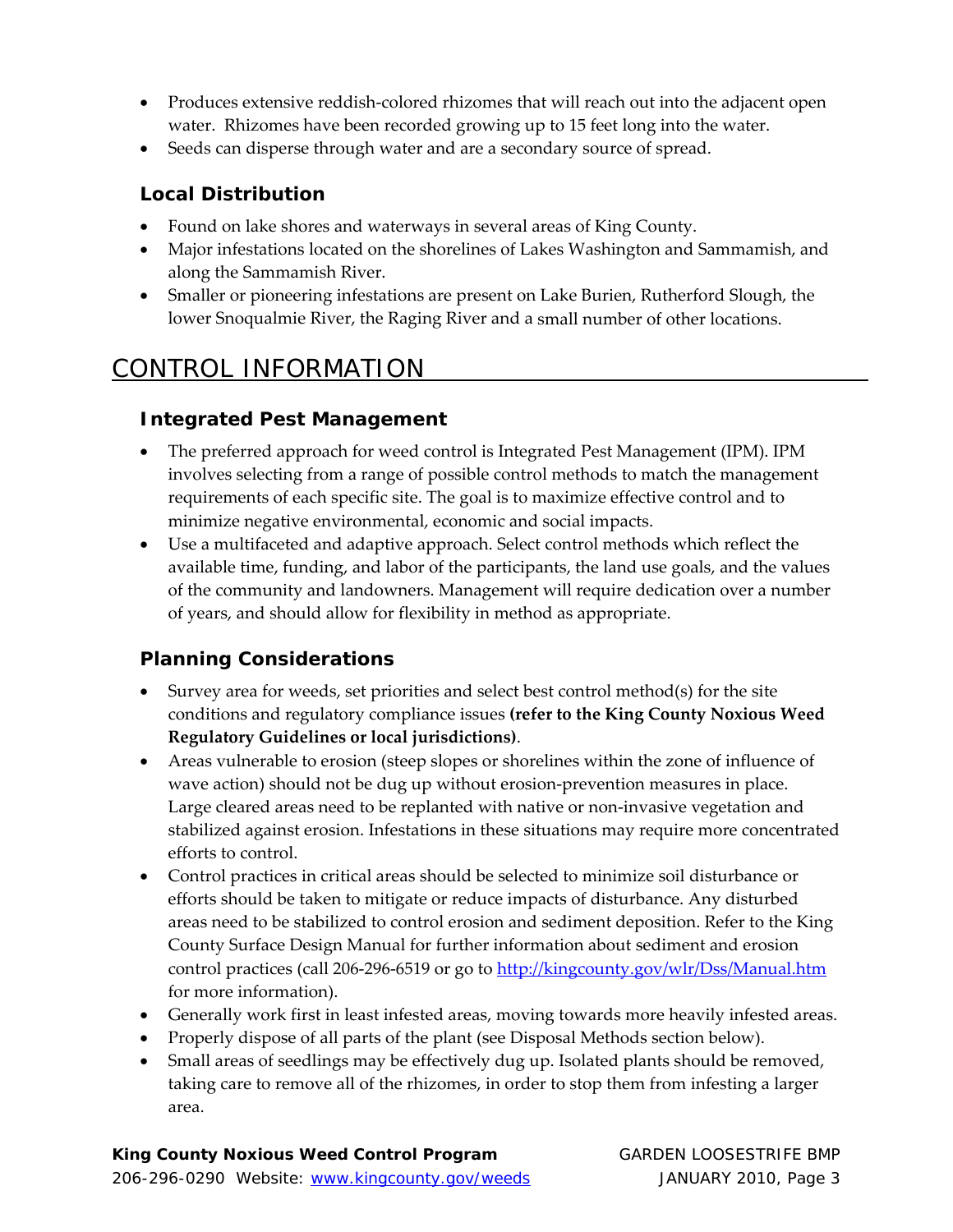- Produces extensive reddish-colored rhizomes that will reach out into the adjacent open water. Rhizomes have been recorded growing up to 15 feet long into the water.
- Seeds can disperse through water and are a secondary source of spread.

#### **Local Distribution**

- Found on lake shores and waterways in several areas of King County.
- Major infestations located on the shorelines of Lakes Washington and Sammamish, and along the Sammamish River.
- Smaller or pioneering infestations are present on Lake Burien, Rutherford Slough, the lower Snoqualmie River, the Raging River and a small number of other locations.

## CONTROL INFORMATION

#### **Integrated Pest Management**

- The preferred approach for weed control is Integrated Pest Management (IPM). IPM involves selecting from a range of possible control methods to match the management requirements of each specific site. The goal is to maximize effective control and to minimize negative environmental, economic and social impacts.
- Use a multifaceted and adaptive approach. Select control methods which reflect the available time, funding, and labor of the participants, the land use goals, and the values of the community and landowners. Management will require dedication over a number of years, and should allow for flexibility in method as appropriate.

### **Planning Considerations**

- Survey area for weeds, set priorities and select best control method(s) for the site conditions and regulatory compliance issues **(refer to the King County Noxious Weed Regulatory Guidelines or local jurisdictions)**.
- Areas vulnerable to erosion (steep slopes or shorelines within the zone of influence of wave action) should not be dug up without erosion-prevention measures in place. Large cleared areas need to be replanted with native or non-invasive vegetation and stabilized against erosion. Infestations in these situations may require more concentrated efforts to control.
- Control practices in critical areas should be selected to minimize soil disturbance or efforts should be taken to mitigate or reduce impacts of disturbance. Any disturbed areas need to be stabilized to control erosion and sediment deposition. Refer to the King County Surface Design Manual for further information about sediment and erosion control practices (call 206-296-6519 or go to http://kingcounty.gov/wlr/Dss/Manual.htm for more information).
- Generally work first in least infested areas, moving towards more heavily infested areas.
- Properly dispose of all parts of the plant (see Disposal Methods section below).
- Small areas of seedlings may be effectively dug up. Isolated plants should be removed, taking care to remove all of the rhizomes, in order to stop them from infesting a larger area.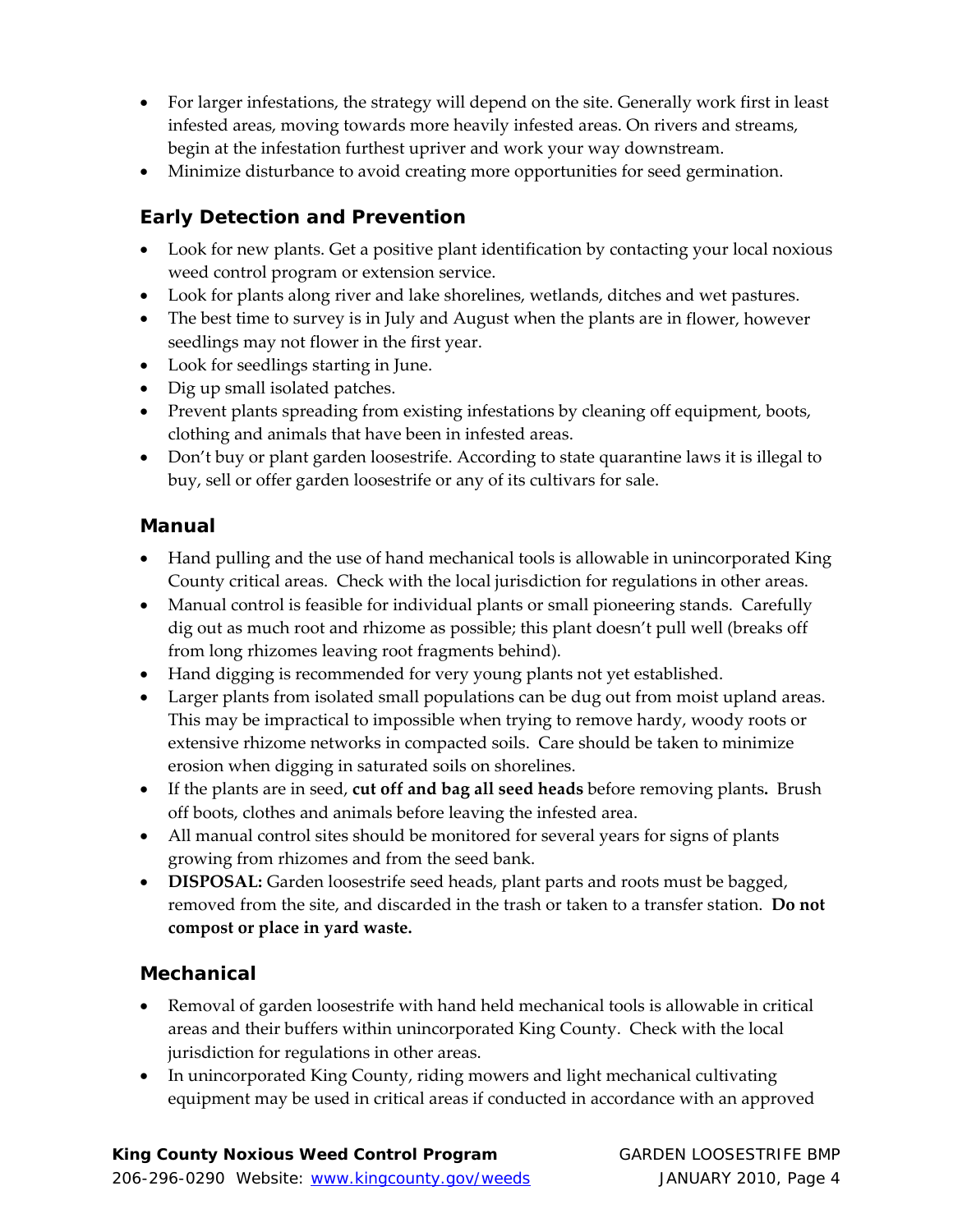- For larger infestations, the strategy will depend on the site. Generally work first in least infested areas, moving towards more heavily infested areas. On rivers and streams, begin at the infestation furthest upriver and work your way downstream.
- Minimize disturbance to avoid creating more opportunities for seed germination.

#### **Early Detection and Prevention**

- Look for new plants. Get a positive plant identification by contacting your local noxious weed control program or extension service.
- Look for plants along river and lake shorelines, wetlands, ditches and wet pastures.
- The best time to survey is in July and August when the plants are in flower, however seedlings may not flower in the first year.
- Look for seedlings starting in June.
- Dig up small isolated patches.
- Prevent plants spreading from existing infestations by cleaning off equipment, boots, clothing and animals that have been in infested areas.
- Don't buy or plant garden loosestrife. According to state quarantine laws it is illegal to buy, sell or offer garden loosestrife or any of its cultivars for sale.

#### **Manual**

- Hand pulling and the use of hand mechanical tools is allowable in unincorporated King County critical areas. Check with the local jurisdiction for regulations in other areas.
- Manual control is feasible for individual plants or small pioneering stands. Carefully dig out as much root and rhizome as possible; this plant doesn't pull well (breaks off from long rhizomes leaving root fragments behind).
- Hand digging is recommended for very young plants not yet established.
- Larger plants from isolated small populations can be dug out from moist upland areas. This may be impractical to impossible when trying to remove hardy, woody roots or extensive rhizome networks in compacted soils. Care should be taken to minimize erosion when digging in saturated soils on shorelines.
- If the plants are in seed, **cut off and bag all seed heads** before removing plants**.** Brush off boots, clothes and animals before leaving the infested area.
- All manual control sites should be monitored for several years for signs of plants growing from rhizomes and from the seed bank.
- **DISPOSAL:** Garden loosestrife seed heads, plant parts and roots must be bagged, removed from the site, and discarded in the trash or taken to a transfer station. **Do not compost or place in yard waste.**

#### **Mechanical**

- Removal of garden loosestrife with hand held mechanical tools is allowable in critical areas and their buffers within unincorporated King County. Check with the local jurisdiction for regulations in other areas.
- In unincorporated King County, riding mowers and light mechanical cultivating equipment may be used in critical areas if conducted in accordance with an approved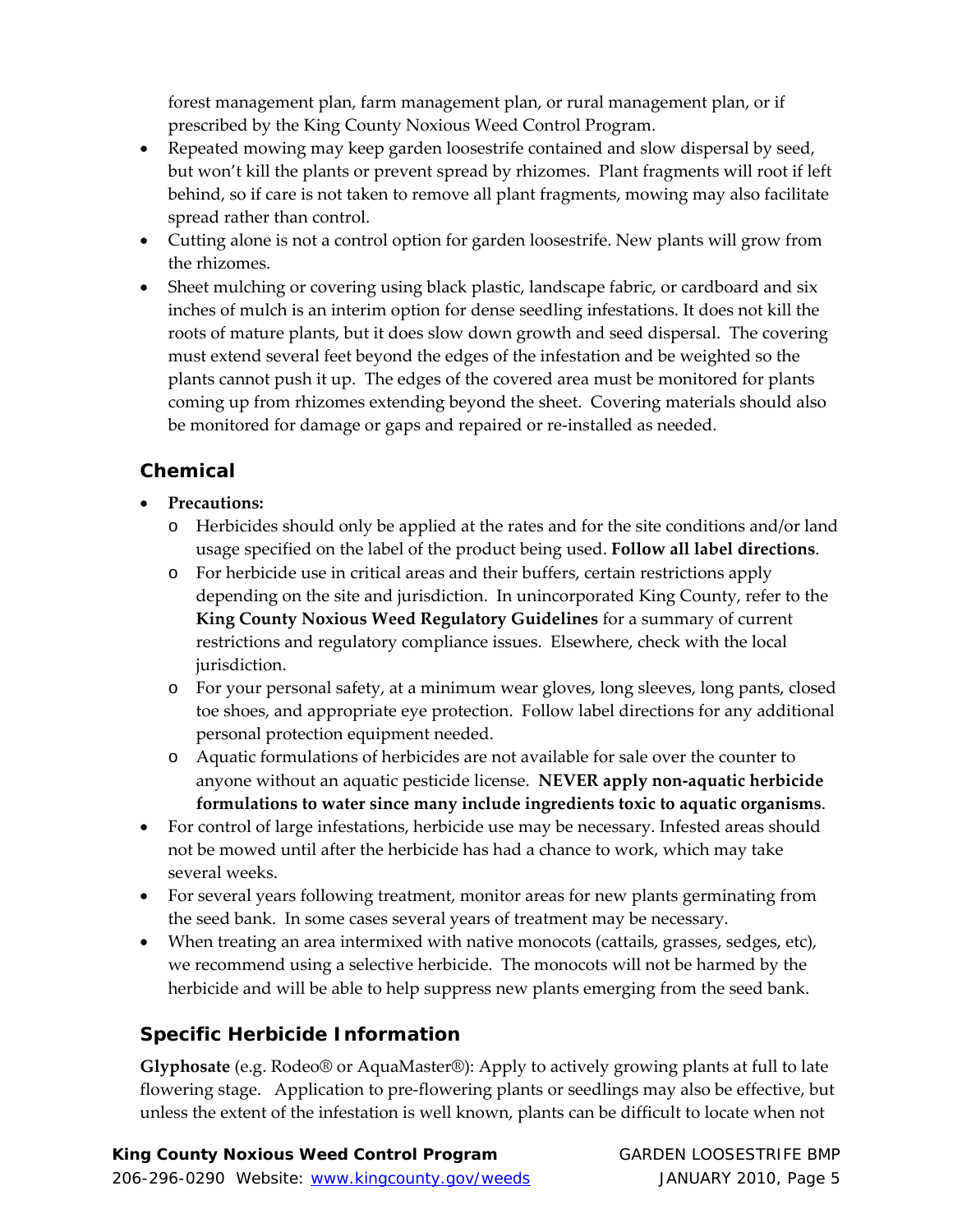forest management plan, farm management plan, or rural management plan, or if prescribed by the King County Noxious Weed Control Program.

- Repeated mowing may keep garden loosestrife contained and slow dispersal by seed, but won't kill the plants or prevent spread by rhizomes. Plant fragments will root if left behind, so if care is not taken to remove all plant fragments, mowing may also facilitate spread rather than control.
- Cutting alone is not a control option for garden loosestrife. New plants will grow from the rhizomes.
- Sheet mulching or covering using black plastic, landscape fabric, or cardboard and six inches of mulch is an interim option for dense seedling infestations. It does not kill the roots of mature plants, but it does slow down growth and seed dispersal. The covering must extend several feet beyond the edges of the infestation and be weighted so the plants cannot push it up. The edges of the covered area must be monitored for plants coming up from rhizomes extending beyond the sheet. Covering materials should also be monitored for damage or gaps and repaired or re-installed as needed.

#### **Chemical**

- **Precautions:**
	- o Herbicides should only be applied at the rates and for the site conditions and/or land usage specified on the label of the product being used. **Follow all label directions**.
	- o For herbicide use in critical areas and their buffers, certain restrictions apply depending on the site and jurisdiction. In unincorporated King County, refer to the **King County Noxious Weed Regulatory Guidelines** for a summary of current restrictions and regulatory compliance issues. Elsewhere, check with the local jurisdiction.
	- o For your personal safety, at a minimum wear gloves, long sleeves, long pants, closed toe shoes, and appropriate eye protection. Follow label directions for any additional personal protection equipment needed.
	- o Aquatic formulations of herbicides are not available for sale over the counter to anyone without an aquatic pesticide license. **NEVER apply non‐aquatic herbicide formulations to water since many include ingredients toxic to aquatic organisms**.
- For control of large infestations, herbicide use may be necessary. Infested areas should not be mowed until after the herbicide has had a chance to work, which may take several weeks.
- For several years following treatment, monitor areas for new plants germinating from the seed bank. In some cases several years of treatment may be necessary.
- When treating an area intermixed with native monocots (cattails, grasses, sedges, etc), we recommend using a selective herbicide. The monocots will not be harmed by the herbicide and will be able to help suppress new plants emerging from the seed bank.

### **Specific Herbicide Information**

**Glyphosate** (e.g. Rodeo® or AquaMaster®): Apply to actively growing plants at full to late flowering stage. Application to pre-flowering plants or seedlings may also be effective, but unless the extent of the infestation is well known, plants can be difficult to locate when not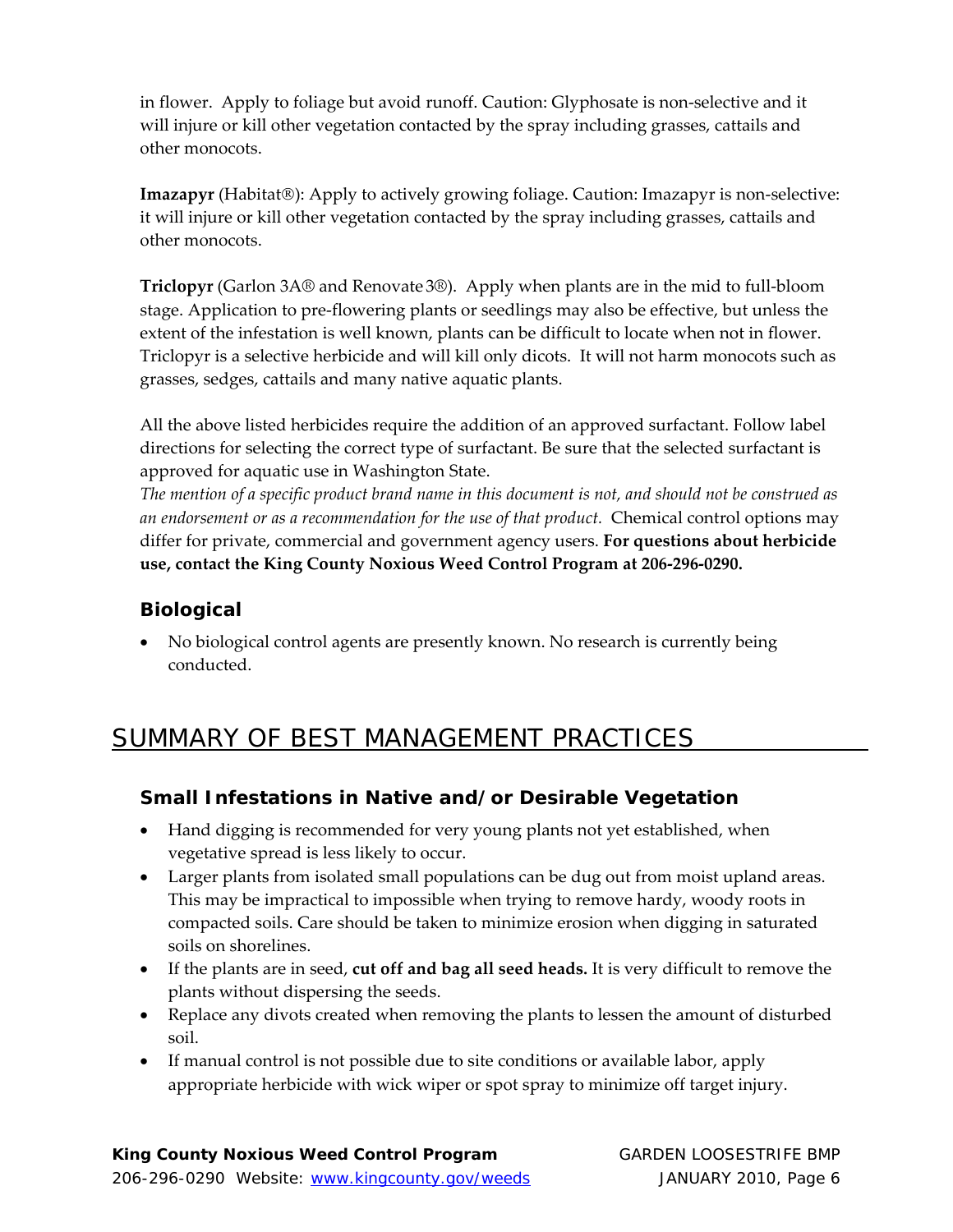in flower. Apply to foliage but avoid runoff. Caution: Glyphosate is non-selective and it will injure or kill other vegetation contacted by the spray including grasses, cattails and other monocots.

**Imazapyr** (Habitat®): Apply to actively growing foliage. Caution: Imazapyr is non-selective: it will injure or kill other vegetation contacted by the spray including grasses, cattails and other monocots.

**Triclopyr** (Garlon 3A® and Renovate 3®). Apply when plants are in the mid to full‐bloom stage. Application to pre‐flowering plants or seedlings may also be effective, but unless the extent of the infestation is well known, plants can be difficult to locate when not in flower. Triclopyr is a selective herbicide and will kill only dicots. It will not harm monocots such as grasses, sedges, cattails and many native aquatic plants.

All the above listed herbicides require the addition of an approved surfactant. Follow label directions for selecting the correct type of surfactant. Be sure that the selected surfactant is approved for aquatic use in Washington State.

The mention of a specific product brand name in this document is not, and should not be construed as *an endorsement or as a recommendation for the use of that product.* Chemical control options may differ for private, commercial and government agency users. **For questions about herbicide use, contact the King County Noxious Weed Control Program at 206‐296‐0290.** 

#### **Biological**

 No biological control agents are presently known. No research is currently being conducted.

## SUMMARY OF BEST MANAGEMENT PRACTICES

#### **Small Infestations in Native and/or Desirable Vegetation**

- Hand digging is recommended for very young plants not yet established, when vegetative spread is less likely to occur.
- Larger plants from isolated small populations can be dug out from moist upland areas. This may be impractical to impossible when trying to remove hardy, woody roots in compacted soils. Care should be taken to minimize erosion when digging in saturated soils on shorelines.
- If the plants are in seed, **cut off and bag all seed heads.** It is very difficult to remove the plants without dispersing the seeds.
- Replace any divots created when removing the plants to lessen the amount of disturbed soil.
- If manual control is not possible due to site conditions or available labor, apply appropriate herbicide with wick wiper or spot spray to minimize off target injury.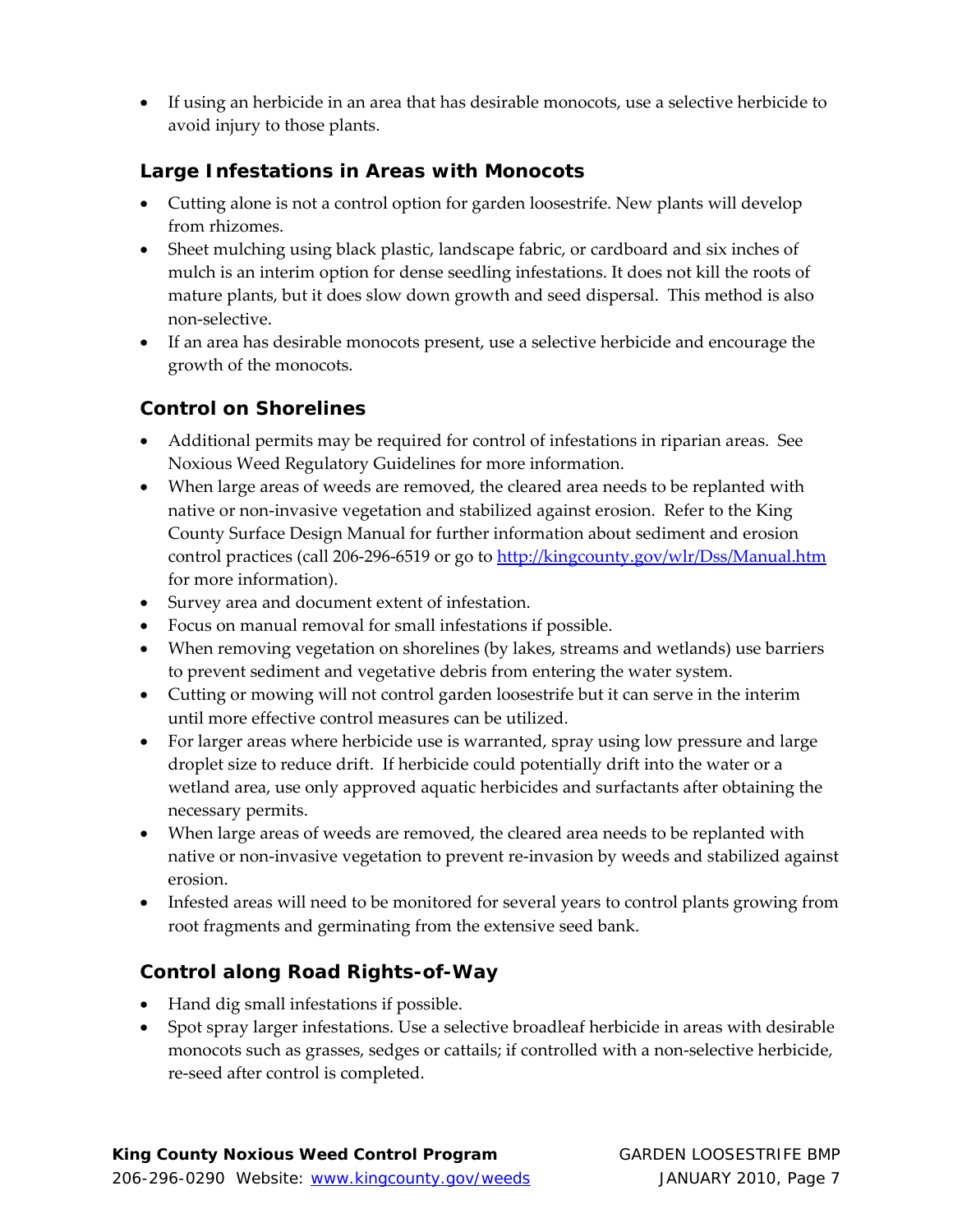If using an herbicide in an area that has desirable monocots, use a selective herbicide to avoid injury to those plants.

#### **Large Infestations in Areas with Monocots**

- Cutting alone is not a control option for garden loosestrife. New plants will develop from rhizomes.
- Sheet mulching using black plastic, landscape fabric, or cardboard and six inches of mulch is an interim option for dense seedling infestations. It does not kill the roots of mature plants, but it does slow down growth and seed dispersal. This method is also non‐selective.
- If an area has desirable monocots present, use a selective herbicide and encourage the growth of the monocots.

### **Control on Shorelines**

- Additional permits may be required for control of infestations in riparian areas. See Noxious Weed Regulatory Guidelines for more information.
- When large areas of weeds are removed, the cleared area needs to be replanted with native or non‐invasive vegetation and stabilized against erosion. Refer to the King County Surface Design Manual for further information about sediment and erosion control practices (call 206-296-6519 or go to http://kingcounty.gov/wlr/Dss/Manual.htm for more information).
- Survey area and document extent of infestation.
- Focus on manual removal for small infestations if possible.
- When removing vegetation on shorelines (by lakes, streams and wetlands) use barriers to prevent sediment and vegetative debris from entering the water system.
- Cutting or mowing will not control garden loosestrife but it can serve in the interim until more effective control measures can be utilized.
- For larger areas where herbicide use is warranted, spray using low pressure and large droplet size to reduce drift. If herbicide could potentially drift into the water or a wetland area, use only approved aquatic herbicides and surfactants after obtaining the necessary permits.
- When large areas of weeds are removed, the cleared area needs to be replanted with native or non‐invasive vegetation to prevent re‐invasion by weeds and stabilized against erosion.
- Infested areas will need to be monitored for several years to control plants growing from root fragments and germinating from the extensive seed bank.

## **Control along Road Rights-of-Way**

- Hand dig small infestations if possible.
- Spot spray larger infestations. Use a selective broadleaf herbicide in areas with desirable monocots such as grasses, sedges or cattails; if controlled with a non-selective herbicide, re‐seed after control is completed.